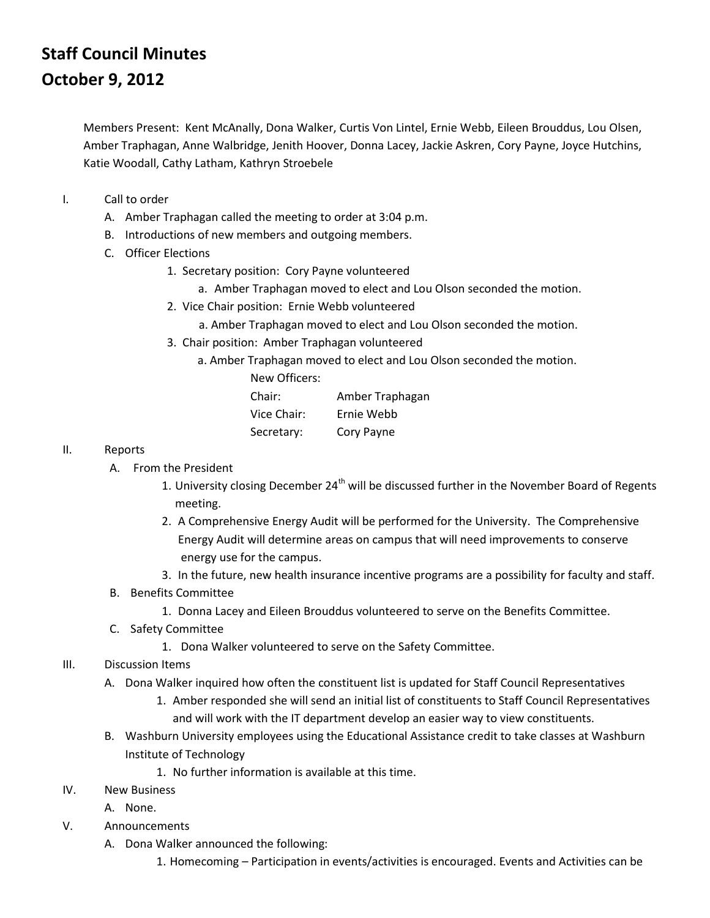## **Staff Council Minutes October 9, 2012**

Members Present: Kent McAnally, Dona Walker, Curtis Von Lintel, Ernie Webb, Eileen Brouddus, Lou Olsen, Amber Traphagan, Anne Walbridge, Jenith Hoover, Donna Lacey, Jackie Askren, Cory Payne, Joyce Hutchins, Katie Woodall, Cathy Latham, Kathryn Stroebele

- I. Call to order
	- A. Amber Traphagan called the meeting to order at 3:04 p.m.
	- B. Introductions of new members and outgoing members.
	- C. Officer Elections
		- 1. Secretary position: Cory Payne volunteered
			- a. Amber Traphagan moved to elect and Lou Olson seconded the motion.
		- 2. Vice Chair position: Ernie Webb volunteered
			- a. Amber Traphagan moved to elect and Lou Olson seconded the motion.
		- 3. Chair position: Amber Traphagan volunteered
			- a. Amber Traphagan moved to elect and Lou Olson seconded the motion.

| New Officers: |                 |
|---------------|-----------------|
| Chair:        | Amber Traphagan |
| Vice Chair:   | Ernie Webb      |
| Secretary:    | Cory Payne      |

- II. Reports
	- A. From the President
		- 1. University closing December  $24<sup>th</sup>$  will be discussed further in the November Board of Regents meeting.
		- 2. A Comprehensive Energy Audit will be performed for the University. The Comprehensive Energy Audit will determine areas on campus that will need improvements to conserve energy use for the campus.
		- 3. In the future, new health insurance incentive programs are a possibility for faculty and staff.
	- B. Benefits Committee
		- 1. Donna Lacey and Eileen Brouddus volunteered to serve on the Benefits Committee.
	- C. Safety Committee
		- 1. Dona Walker volunteered to serve on the Safety Committee.
- III. Discussion Items
	- A. Dona Walker inquired how often the constituent list is updated for Staff Council Representatives
		- 1. Amber responded she will send an initial list of constituents to Staff Council Representatives and will work with the IT department develop an easier way to view constituents.
	- B. Washburn University employees using the Educational Assistance credit to take classes at Washburn Institute of Technology
		- 1. No further information is available at this time.
- IV. New Business
	- A. None.
- V. Announcements
	- A. Dona Walker announced the following:
		- 1. Homecoming Participation in events/activities is encouraged. Events and Activities can be